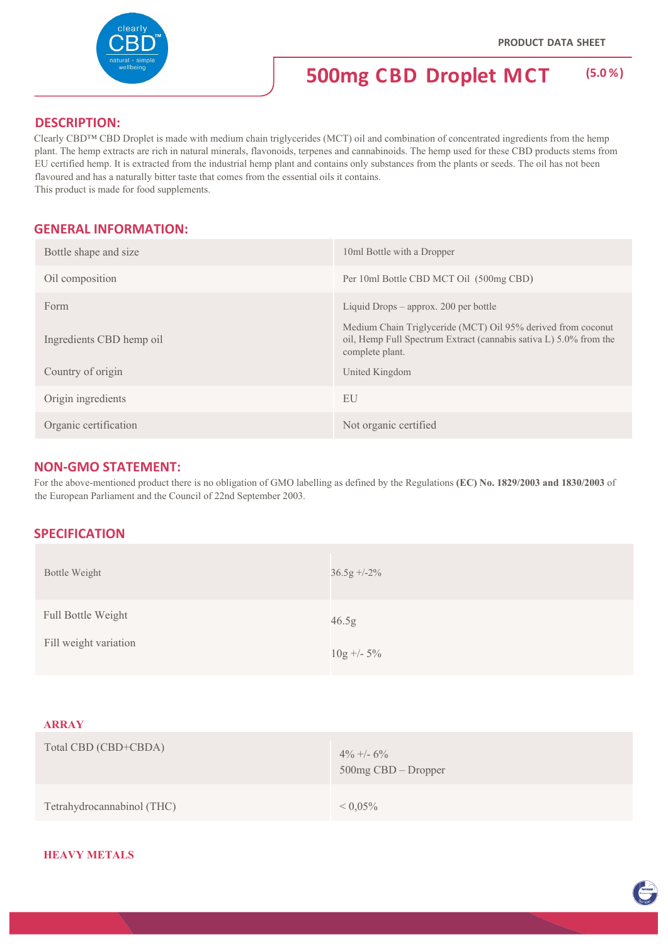**ENTRON** 



# **500mg CBD Droplet MCT (5.0 %)**

# **DESCRIPTION:**

Clearly CBD™ CBD Droplet is made with medium chain triglycerides (MCT) oil and combination of concentrated ingredients from the hemp plant. The hemp extracts are rich in natural minerals, flavonoids, terpenes and cannabinoids. The hemp used for these CBD products stems from EU certified hemp. It is extracted from the industrial hemp plant and contains only substances from the plants or seeds. The oil has not been flavoured and has a naturally bitter taste that comes from the essential oils it contains. This product is made for food supplements.

**GENERAL INFORMATION:**

| Bottle shape and size    | 10ml Bottle with a Dropper                                                                              |
|--------------------------|---------------------------------------------------------------------------------------------------------|
| Oil composition          | Per 10ml Bottle CBD MCT Oil (500mg CBD)                                                                 |
| Form                     | Liquid Drops $-$ approx. 200 per bottle<br>Medium Chain Triglyceride (MCT) Oil 95% derived from coconut |
| Ingredients CBD hemp oil | oil, Hemp Full Spectrum Extract (cannabis sativa L) 5.0% from the<br>complete plant.                    |
| Country of origin        | United Kingdom                                                                                          |
| Origin ingredients       | EU                                                                                                      |
| Organic certification    | Not organic certified                                                                                   |

## **NON‐GMO STATEMENT:**

For the above-mentioned product there is no obligation of GMO labelling as defined by the Regulations **(EC) No. 1829/2003 and 1830/2003** of the European Parliament and the Council of 22nd September 2003.

## **SPECIFICATION**

| Bottle Weight                               | $36.5g + -2\%$        |
|---------------------------------------------|-----------------------|
| Full Bottle Weight<br>Fill weight variation | 46.5g<br>$10g + -5\%$ |
|                                             |                       |

#### **ARRAY**

| Total CBD (CBD+CBDA)       | $4\% +1.6\%$<br>$500mg$ CBD – Dropper |
|----------------------------|---------------------------------------|
| Tetrahydrocannabinol (THC) | $< 0.05\%$                            |

#### **HEAVY METALS**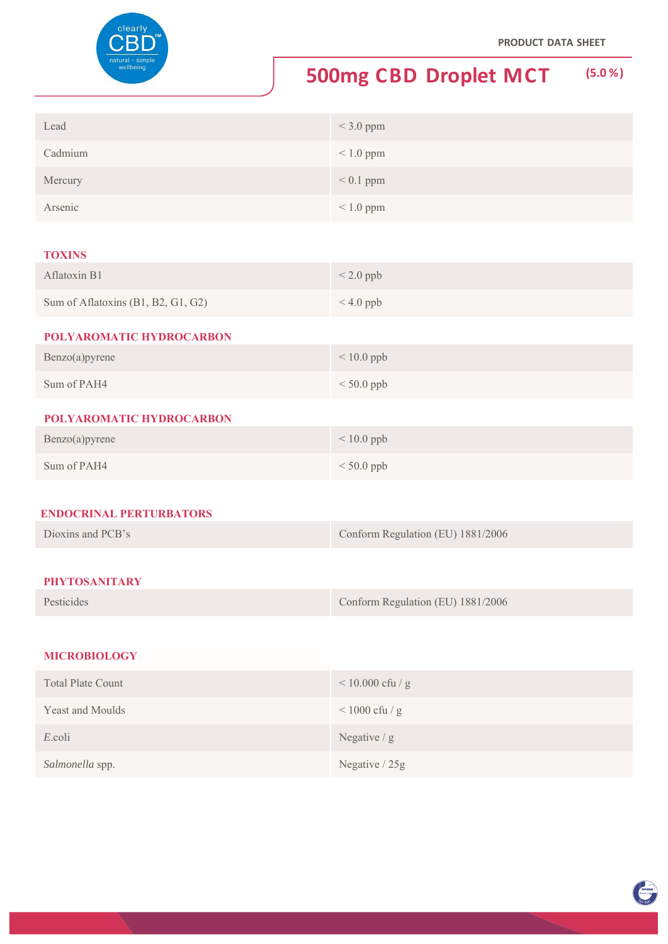

# **500mg CBD Droplet MCT (5.0 %)**

| Lead    | $<$ 3.0 ppm    |
|---------|----------------|
| Cadmium | $\leq 1.0$ ppm |
| Mercury | $< 0.1$ ppm    |
| Arsenic | $\leq 1.0$ ppm |

#### **TOXINS**

| Aflatoxin B1                       | $< 2.0$ ppb    |
|------------------------------------|----------------|
| Sum of Aflatoxins (B1, B2, G1, G2) | $\leq 4.0$ ppb |
| POLYAROMATIC HYDROCARBON           |                |

# Benzo(a)pyrene < 10.0 ppb Sum of PAH4  $<$  50.0 ppb

## **POLYAROMATIC HYDROCARBON**

| Benzo(a)pyrene | $< 10.0$ ppb |
|----------------|--------------|
| Sum of PAH4    | $< 50.0$ ppb |

#### **ENDOCRINAL PERTURBATORS**

| Dioxins and PCB's | Conform Regulation (EU) 1881/2006 |
|-------------------|-----------------------------------|
|                   |                                   |

# **PHYTOSANITARY**

| Pesticides | Conform Regulation (EU) 1881/2006 |
|------------|-----------------------------------|
|------------|-----------------------------------|

### **MICROBIOLOGY**

| <b>Total Plate Count</b> | $< 10.000$ cfu / g  |
|--------------------------|---------------------|
| <b>Yeast and Moulds</b>  | $\leq 1000$ cfu / g |
| E.coli                   | Negative $/g$       |
| Salmonella spp.          | Negative / 25g      |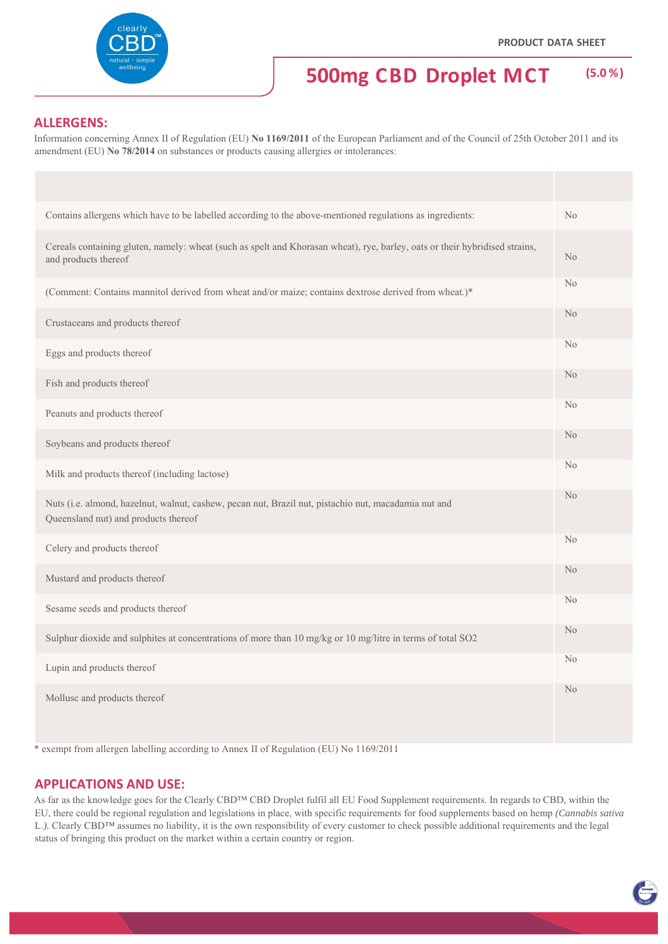EN NOT

# **500mg CBD Droplet MCT (5.0 %)**

# **ALLERGENS:**

Information concerning Annex II of Regulation (EU) **No 1169/2011** of the European Parliament and of the Council of 25th October 2011 and its amendment (EU) **No 78/2014** on substances or products causing allergies or intolerances:

| Contains allergens which have to be labelled according to the above-mentioned regulations as ingredients:                                           | No             |
|-----------------------------------------------------------------------------------------------------------------------------------------------------|----------------|
| Cereals containing gluten, namely: wheat (such as spelt and Khorasan wheat), rye, barley, oats or their hybridised strains,<br>and products thereof | N <sub>o</sub> |
| (Comment: Contains mannitol derived from wheat and/or maize; contains dextrose derived from wheat.)*                                                | N <sub>o</sub> |
| Crustaceans and products thereof                                                                                                                    | N <sub>o</sub> |
| Eggs and products thereof                                                                                                                           | N <sub>o</sub> |
| Fish and products thereof                                                                                                                           | N <sub>o</sub> |
| Peanuts and products thereof                                                                                                                        | N <sub>o</sub> |
| Soybeans and products thereof                                                                                                                       | N <sub>o</sub> |
| Milk and products thereof (including lactose)                                                                                                       | N <sub>o</sub> |
| Nuts (i.e. almond, hazelnut, walnut, cashew, pecan nut, Brazil nut, pistachio nut, macadamia nut and<br>Queensland nut) and products thereof        | N <sub>o</sub> |
| Celery and products thereof                                                                                                                         | N <sub>o</sub> |
| Mustard and products thereof                                                                                                                        | N <sub>o</sub> |
| Sesame seeds and products thereof                                                                                                                   | No             |
| Sulphur dioxide and sulphites at concentrations of more than 10 mg/kg or 10 mg/litre in terms of total SO2                                          | N <sub>o</sub> |
| Lupin and products thereof                                                                                                                          | N <sub>o</sub> |
| Mollusc and products thereof                                                                                                                        | N <sub>o</sub> |

\* exempt from allergen labelling according to Annex II of Regulation (EU) No 1169/2011

#### **APPLICATIONS AND USE:**

As far as the knowledge goes for the Clearly CBD™ CBD Droplet fulfil all EU Food Supplement requirements. In regards to CBD, within the EU, there could be regional regulation and legislations in place, with specific requirements for food supplements based on hemp *(Cannabis sativa*  L.). Clearly CBD™ assumes no liability, it is the own responsibility of every customer to check possible additional requirements and the legal status of bringing this product on the market within a certain country or region.